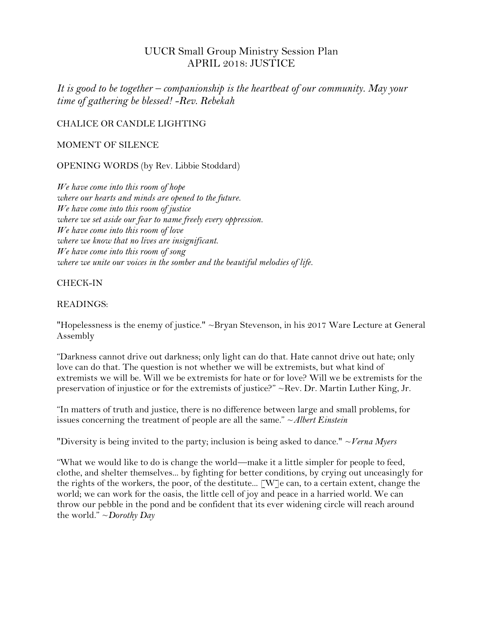# UUCR Small Group Ministry Session Plan APRIL 2018: JUSTICE

*It is good to be together – companionship is the heartbeat of our community. May your time of gathering be blessed! -Rev. Rebekah*

CHALICE OR CANDLE LIGHTING

MOMENT OF SILENCE

OPENING WORDS (by Rev. Libbie Stoddard)

*We have come into this room of hope where our hearts and minds are opened to the future. We have come into this room of justice where we set aside our fear to name freely every oppression. We have come into this room of love where we know that no lives are insignificant. We have come into this room of song where we unite our voices in the somber and the beautiful melodies of life.*

CHECK-IN

#### READINGS:

"Hopelessness is the enemy of justice." ~Bryan Stevenson, in his 2017 [Ware Lecture](https://www.uua.org/ga/program/highlights/ware-lecture) at General Assembly

"Darkness cannot drive out darkness; only light can do that. Hate cannot drive out hate; only love can do that. The question is not whether we will be extremists, but what kind of extremists we will be. Will we be extremists for hate or for love? Will we be extremists for the preservation of injustice or for the extremists of justice?" ~Rev. Dr. Martin Luther King, Jr.

"In matters of truth and justice, there is no difference between large and small problems, for issues concerning the treatment of people are all the same." ~*Albert Einstein*

"Diversity is being invited to the party; inclusion is being asked to dance." ~*Verna Myers*

"What we would like to do is change the world—make it a little simpler for people to feed, clothe, and shelter themselves... by fighting for better conditions, by crying out unceasingly for the rights of the workers, the poor, of the destitute... [W]e can, to a certain extent, change the world; we can work for the oasis, the little cell of joy and peace in a harried world. We can throw our pebble in the pond and be confident that its ever widening circle will reach around the world." ~*Dorothy Day*